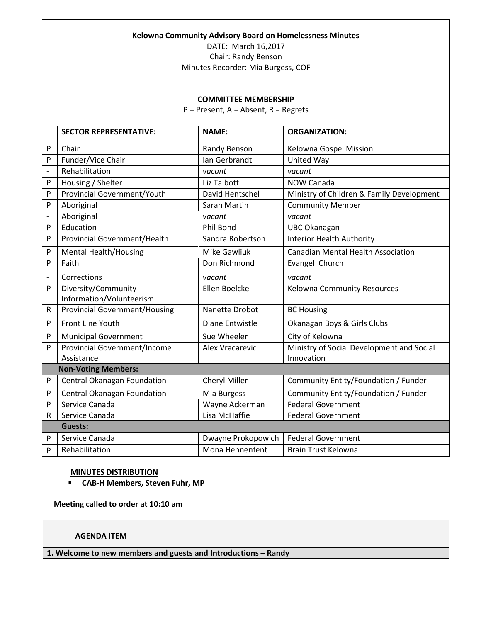### **Kelowna Community Advisory Board on Homelessness Minutes**

DATE: March 16,2017

Chair: Randy Benson

Minutes Recorder: Mia Burgess, COF

### **COMMITTEE MEMBERSHIP**

P = Present, A = Absent, R = Regrets

|                              | <b>SECTOR REPRESENTATIVE:</b>        | <b>NAME:</b>        | <b>ORGANIZATION:</b>                      |  |
|------------------------------|--------------------------------------|---------------------|-------------------------------------------|--|
|                              |                                      |                     |                                           |  |
| P                            | Chair                                | Randy Benson        | Kelowna Gospel Mission                    |  |
| P                            | Funder/Vice Chair                    | Ian Gerbrandt       | United Way                                |  |
| $\overline{a}$               | Rehabilitation                       | vacant              | vacant                                    |  |
| P                            | Housing / Shelter                    | Liz Talbott         | NOW Canada                                |  |
| P                            | <b>Provincial Government/Youth</b>   | David Hentschel     | Ministry of Children & Family Development |  |
| P                            | Aboriginal                           | Sarah Martin        | <b>Community Member</b>                   |  |
| $\qquad \qquad \blacksquare$ | Aboriginal                           | vacant              | vacant                                    |  |
| P                            | Education                            | Phil Bond           | <b>UBC Okanagan</b>                       |  |
| P                            | <b>Provincial Government/Health</b>  | Sandra Robertson    | <b>Interior Health Authority</b>          |  |
| P                            | <b>Mental Health/Housing</b>         | <b>Mike Gawliuk</b> | <b>Canadian Mental Health Association</b> |  |
| P                            | Faith                                | Don Richmond        | Evangel Church                            |  |
| $\overline{a}$               | Corrections                          | vacant              | vacant                                    |  |
| P                            | Diversity/Community                  | Ellen Boelcke       | <b>Kelowna Community Resources</b>        |  |
|                              | Information/Volunteerism             |                     |                                           |  |
| ${\sf R}$                    | <b>Provincial Government/Housing</b> | Nanette Drobot      | <b>BC Housing</b>                         |  |
| P                            | Front Line Youth                     | Diane Entwistle     | Okanagan Boys & Girls Clubs               |  |
| P                            | <b>Municipal Government</b>          | Sue Wheeler         | City of Kelowna                           |  |
| P                            | <b>Provincial Government/Income</b>  | Alex Vracarevic     | Ministry of Social Development and Social |  |
|                              | Assistance                           |                     | Innovation                                |  |
|                              | <b>Non-Voting Members:</b>           |                     |                                           |  |
| P                            | Central Okanagan Foundation          | Cheryl Miller       | Community Entity/Foundation / Funder      |  |
| P                            | Central Okanagan Foundation          | Mia Burgess         | Community Entity/Foundation / Funder      |  |
| P                            | Service Canada                       | Wayne Ackerman      | <b>Federal Government</b>                 |  |
| R                            | Service Canada                       | Lisa McHaffie       | <b>Federal Government</b>                 |  |
|                              | <b>Guests:</b>                       |                     |                                           |  |
| P                            | Service Canada                       | Dwayne Prokopowich  | <b>Federal Government</b>                 |  |
| P                            | Rehabilitation                       | Mona Hennenfent     | <b>Brain Trust Kelowna</b>                |  |

## **MINUTES DISTRIBUTION**

**CAB-H Members, Steven Fuhr, MP**

**Meeting called to order at 10:10 am**

# **AGENDA ITEM**

**1. Welcome to new members and guests and Introductions – Randy**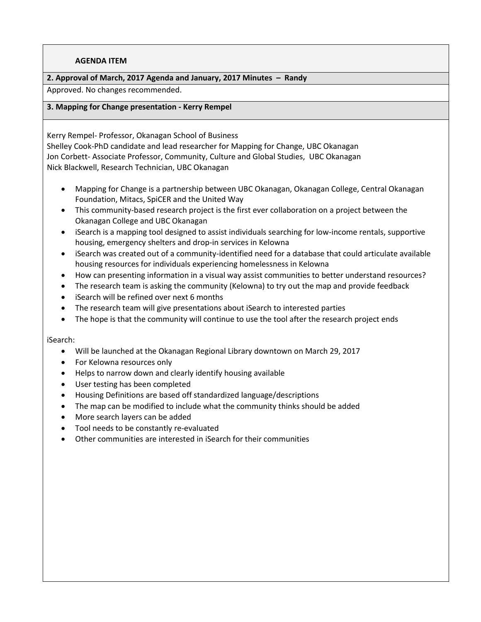# **AGENDA ITEM**

# **2. Approval of March, 2017 Agenda and January, 2017 Minutes – Randy**

Approved. No changes recommended.

## **3. Mapping for Change presentation - Kerry Rempel**

Kerry Rempel- Professor, Okanagan School of Business Shelley Cook-PhD candidate and lead researcher for Mapping for Change, UBC Okanagan Jon Corbett- Associate Professor, Community, Culture and Global Studies, UBC Okanagan Nick Blackwell, Research Technician, UBC Okanagan

- Mapping for Change is a partnership between UBC Okanagan, Okanagan College, Central Okanagan Foundation, Mitacs, SpiCER and the United Way
- This community-based research project is the first ever collaboration on a project between the Okanagan College and UBC Okanagan
- iSearch is a mapping tool designed to assist individuals searching for low-income rentals, supportive housing, emergency shelters and drop-in services in Kelowna
- iSearch was created out of a community-identified need for a database that could articulate available housing resources for individuals experiencing homelessness in Kelowna
- How can presenting information in a visual way assist communities to better understand resources?
- The research team is asking the community (Kelowna) to try out the map and provide feedback
- iSearch will be refined over next 6 months
- The research team will give presentations about iSearch to interested parties
- The hope is that the community will continue to use the tool after the research project ends

#### iSearch:

- Will be launched at the Okanagan Regional Library downtown on March 29, 2017
- For Kelowna resources only
- Helps to narrow down and clearly identify housing available
- User testing has been completed
- Housing Definitions are based off standardized language/descriptions
- The map can be modified to include what the community thinks should be added
- More search layers can be added
- Tool needs to be constantly re-evaluated
- Other communities are interested in iSearch for their communities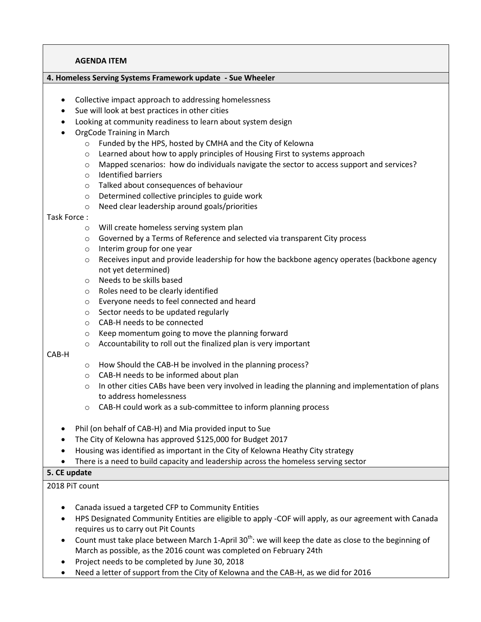### **AGENDA ITEM**

## **4. Homeless Serving Systems Framework update - Sue Wheeler**

- Collective impact approach to addressing homelessness
- Sue will look at best practices in other cities
- Looking at community readiness to learn about system design
- OrgCode Training in March
	- o Funded by the HPS, hosted by CMHA and the City of Kelowna
	- o Learned about how to apply principles of Housing First to systems approach
	- o Mapped scenarios: how do individuals navigate the sector to access support and services?
	- o Identified barriers
	- o Talked about consequences of behaviour
	- o Determined collective principles to guide work
	- o Need clear leadership around goals/priorities

#### Task Force :

- o Will create homeless serving system plan
- o Governed by a Terms of Reference and selected via transparent City process
- o Interim group for one year
- $\circ$  Receives input and provide leadership for how the backbone agency operates (backbone agency not yet determined)
- o Needs to be skills based
- o Roles need to be clearly identified
- o Everyone needs to feel connected and heard
- o Sector needs to be updated regularly
- o CAB-H needs to be connected
- o Keep momentum going to move the planning forward
- o Accountability to roll out the finalized plan is very important

#### CAB-H

- o How Should the CAB-H be involved in the planning process?
- o CAB-H needs to be informed about plan
- $\circ$  In other cities CABs have been very involved in leading the planning and implementation of plans to address homelessness
- o CAB-H could work as a sub-committee to inform planning process
- Phil (on behalf of CAB-H) and Mia provided input to Sue
- The City of Kelowna has approved \$125,000 for Budget 2017
- Housing was identified as important in the City of Kelowna Heathy City strategy
- There is a need to build capacity and leadership across the homeless serving sector

#### **5. CE update**

# 2018 PiT count

- Canada issued a targeted CFP to Community Entities
- HPS Designated Community Entities are eligible to apply -COF will apply, as our agreement with Canada requires us to carry out Pit Counts
- Count must take place between March 1-April 30<sup>th</sup>: we will keep the date as close to the beginning of March as possible, as the 2016 count was completed on February 24th
- Project needs to be completed by June 30, 2018
- Need a letter of support from the City of Kelowna and the CAB-H, as we did for 2016